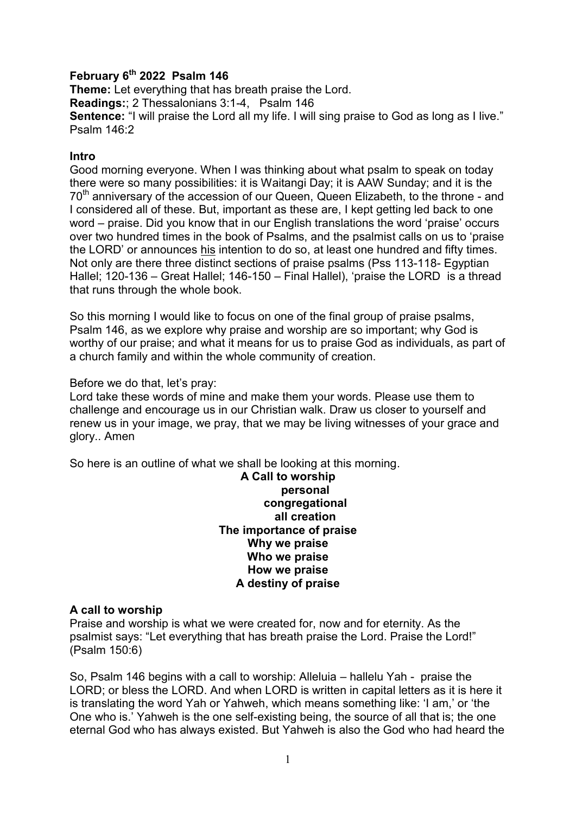# **February 6th 2022 Psalm 146**

**Theme:** Let everything that has breath praise the Lord. **Readings:**; 2 Thessalonians 3:1-4, Psalm 146 **Sentence:** "I will praise the Lord all my life. I will sing praise to God as long as I live." Psalm 146:2

### **Intro**

Good morning everyone. When I was thinking about what psalm to speak on today there were so many possibilities: it is Waitangi Day; it is AAW Sunday; and it is the 70<sup>th</sup> anniversary of the accession of our Queen, Queen Elizabeth, to the throne - and I considered all of these. But, important as these are, I kept getting led back to one word – praise. Did you know that in our English translations the word 'praise' occurs over two hundred times in the book of Psalms, and the psalmist calls on us to 'praise the LORD' or announces his intention to do so, at least one hundred and fifty times. Not only are there three distinct sections of praise psalms (Pss 113-118- Egyptian Hallel; 120-136 – Great Hallel; 146-150 – Final Hallel), 'praise the LORD is a thread that runs through the whole book.

So this morning I would like to focus on one of the final group of praise psalms, Psalm 146, as we explore why praise and worship are so important; why God is worthy of our praise; and what it means for us to praise God as individuals, as part of a church family and within the whole community of creation.

### Before we do that, let's pray:

Lord take these words of mine and make them your words. Please use them to challenge and encourage us in our Christian walk. Draw us closer to yourself and renew us in your image, we pray, that we may be living witnesses of your grace and glory.. Amen

So here is an outline of what we shall be looking at this morning.

**A Call to worship personal congregational all creation The importance of praise Why we praise Who we praise How we praise A destiny of praise**

## **A call to worship**

Praise and worship is what we were created for, now and for eternity. As the psalmist says: "Let everything that has breath praise the Lord. Praise the Lord!" (Psalm 150:6)

So, Psalm 146 begins with a call to worship: Alleluia – hallelu Yah - praise the LORD; or bless the LORD. And when LORD is written in capital letters as it is here it is translating the word Yah or Yahweh, which means something like: 'I am,' or 'the One who is.' Yahweh is the one self-existing being, the source of all that is; the one eternal God who has always existed. But Yahweh is also the God who had heard the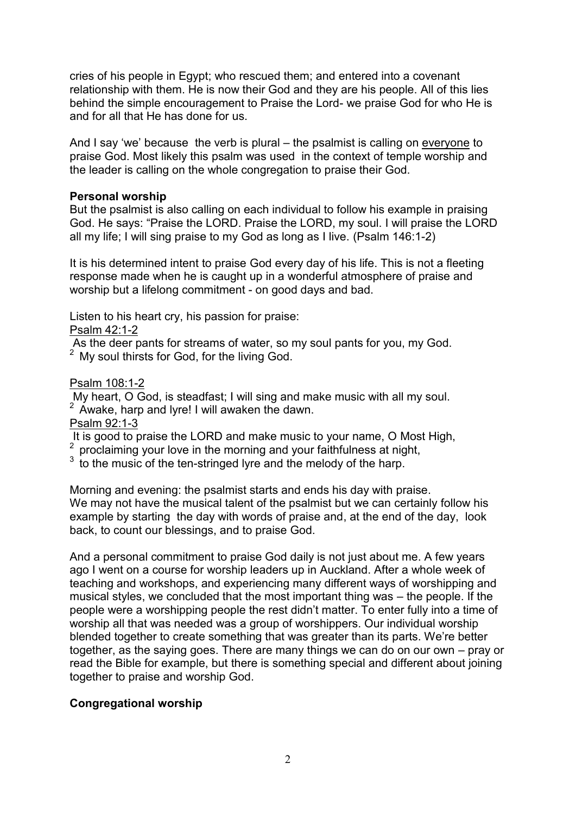cries of his people in Egypt; who rescued them; and entered into a covenant relationship with them. He is now their God and they are his people. All of this lies behind the simple encouragement to Praise the Lord- we praise God for who He is and for all that He has done for us.

And I say 'we' because the verb is plural – the psalmist is calling on everyone to praise God. Most likely this psalm was used in the context of temple worship and the leader is calling on the whole congregation to praise their God.

# **Personal worship**

But the psalmist is also calling on each individual to follow his example in praising God. He says: "Praise the LORD. Praise the LORD, my soul. I will praise the LORD all my life; I will sing praise to my God as long as I live. (Psalm 146:1-2)

It is his determined intent to praise God every day of his life. This is not a fleeting response made when he is caught up in a wonderful atmosphere of praise and worship but a lifelong commitment - on good days and bad.

Listen to his heart cry, his passion for praise:

Psalm 42:1-2

As the deer pants for streams of water, so my soul pants for you, my God. <sup>2</sup> My soul thirsts for God, for the living God.

# Psalm 108:1-2

My heart, O God, is steadfast; I will sing and make music with all my soul.

<sup>2</sup> Awake, harp and lyre! I will awaken the dawn.

Psalm 92:1-3

It is good to praise the LORD and make music to your name, O Most High,

<sup>2</sup> proclaiming your love in the morning and your faithfulness at night,

 $3\,$  to the music of the ten-stringed lyre and the melody of the harp.

Morning and evening: the psalmist starts and ends his day with praise. We may not have the musical talent of the psalmist but we can certainly follow his example by starting the day with words of praise and, at the end of the day, look back, to count our blessings, and to praise God.

And a personal commitment to praise God daily is not just about me. A few years ago I went on a course for worship leaders up in Auckland. After a whole week of teaching and workshops, and experiencing many different ways of worshipping and musical styles, we concluded that the most important thing was – the people. If the people were a worshipping people the rest didn't matter. To enter fully into a time of worship all that was needed was a group of worshippers. Our individual worship blended together to create something that was greater than its parts. We're better together, as the saying goes. There are many things we can do on our own – pray or read the Bible for example, but there is something special and different about joining together to praise and worship God.

# **Congregational worship**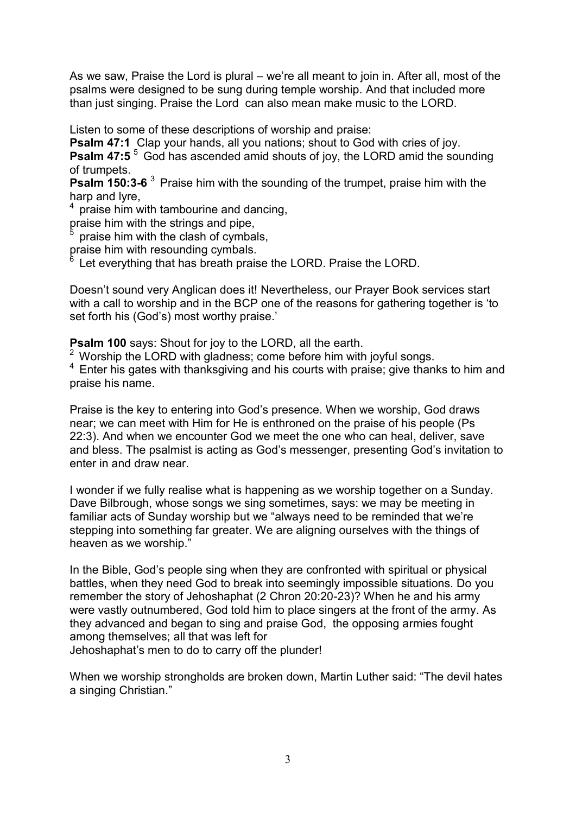As we saw, Praise the Lord is plural – we're all meant to join in. After all, most of the psalms were designed to be sung during temple worship. And that included more than just singing. Praise the Lord can also mean make music to the LORD.

Listen to some of these descriptions of worship and praise:

**Psalm 47:1** Clap your hands, all you nations; shout to God with cries of joy. **Psalm 47:5** <sup>5</sup> God has ascended amid shouts of joy, the LORD amid the sounding of trumpets.

**Psalm 150:3-6** <sup>3</sup> Praise him with the sounding of the trumpet, praise him with the harp and lyre.

praise him with tambourine and dancing,

praise him with the strings and pipe,

praise him with the clash of cymbals,

praise him with resounding cymbals.

Let everything that has breath praise the LORD. Praise the LORD.

Doesn't sound very Anglican does it! Nevertheless, our Prayer Book services start with a call to worship and in the BCP one of the reasons for gathering together is 'to set forth his (God's) most worthy praise.'

**Psalm 100** says: Shout for joy to the LORD, all the earth.

<sup>2</sup> Worship the LORD with gladness; come before him with joyful songs.

<sup>4</sup>Enter his gates with thanksgiving and his courts with praise; give thanks to him and praise his name.

Praise is the key to entering into God's presence. When we worship, God draws near; we can meet with Him for He is enthroned on the praise of his people (Ps 22:3). And when we encounter God we meet the one who can heal, deliver, save and bless. The psalmist is acting as God's messenger, presenting God's invitation to enter in and draw near.

I wonder if we fully realise what is happening as we worship together on a Sunday. Dave Bilbrough, whose songs we sing sometimes, says: we may be meeting in familiar acts of Sunday worship but we "always need to be reminded that we're stepping into something far greater. We are aligning ourselves with the things of heaven as we worship."

In the Bible, God's people sing when they are confronted with spiritual or physical battles, when they need God to break into seemingly impossible situations. Do you remember the story of Jehoshaphat (2 Chron 20:20-23)? When he and his army were vastly outnumbered, God told him to place singers at the front of the army. As they advanced and began to sing and praise God, the opposing armies fought among themselves; all that was left for Jehoshaphat's men to do to carry off the plunder!

When we worship strongholds are broken down, Martin Luther said: "The devil hates a singing Christian."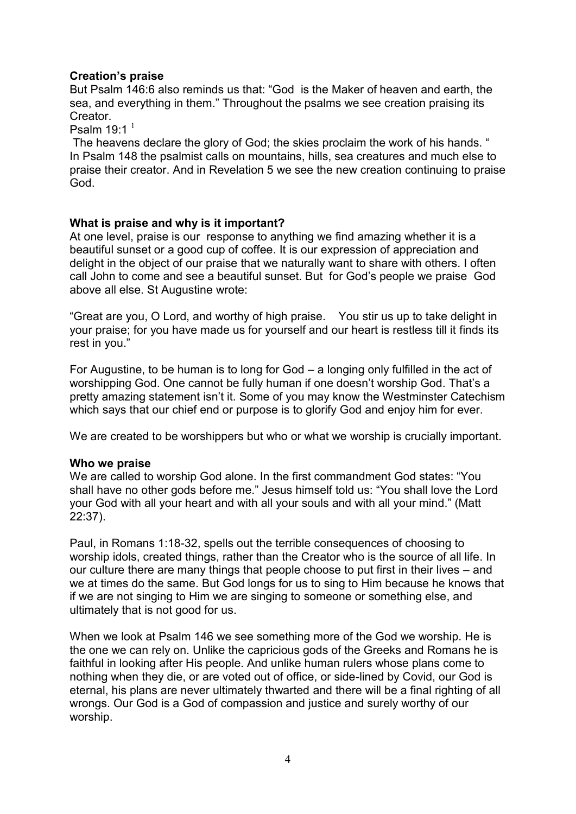## **Creation's praise**

But Psalm 146:6 also reminds us that: "God is the Maker of heaven and earth, the sea, and everything in them." Throughout the psalms we see creation praising its Creator.

Psalm  $19:1<sup>1</sup>$ 

The heavens declare the glory of God; the skies proclaim the work of his hands. " In Psalm 148 the psalmist calls on mountains, hills, sea creatures and much else to praise their creator. And in Revelation 5 we see the new creation continuing to praise God.

## **What is praise and why is it important?**

At one level, praise is our response to anything we find amazing whether it is a beautiful sunset or a good cup of coffee. It is our expression of appreciation and delight in the object of our praise that we naturally want to share with others. I often call John to come and see a beautiful sunset. But for God's people we praise God above all else. St Augustine wrote:

"Great are you, O Lord, and worthy of high praise. You stir us up to take delight in your praise; for you have made us for yourself and our heart is restless till it finds its rest in you."

For Augustine, to be human is to long for God – a longing only fulfilled in the act of worshipping God. One cannot be fully human if one doesn't worship God. That's a pretty amazing statement isn't it. Some of you may know the Westminster Catechism which says that our chief end or purpose is to glorify God and enjoy him for ever.

We are created to be worshippers but who or what we worship is crucially important.

#### **Who we praise**

We are called to worship God alone. In the first commandment God states: "You shall have no other gods before me." Jesus himself told us: "You shall love the Lord your God with all your heart and with all your souls and with all your mind." (Matt 22:37).

Paul, in Romans 1:18-32, spells out the terrible consequences of choosing to worship idols, created things, rather than the Creator who is the source of all life. In our culture there are many things that people choose to put first in their lives – and we at times do the same. But God longs for us to sing to Him because he knows that if we are not singing to Him we are singing to someone or something else, and ultimately that is not good for us.

When we look at Psalm 146 we see something more of the God we worship. He is the one we can rely on. Unlike the capricious gods of the Greeks and Romans he is faithful in looking after His people. And unlike human rulers whose plans come to nothing when they die, or are voted out of office, or side-lined by Covid, our God is eternal, his plans are never ultimately thwarted and there will be a final righting of all wrongs. Our God is a God of compassion and justice and surely worthy of our worship.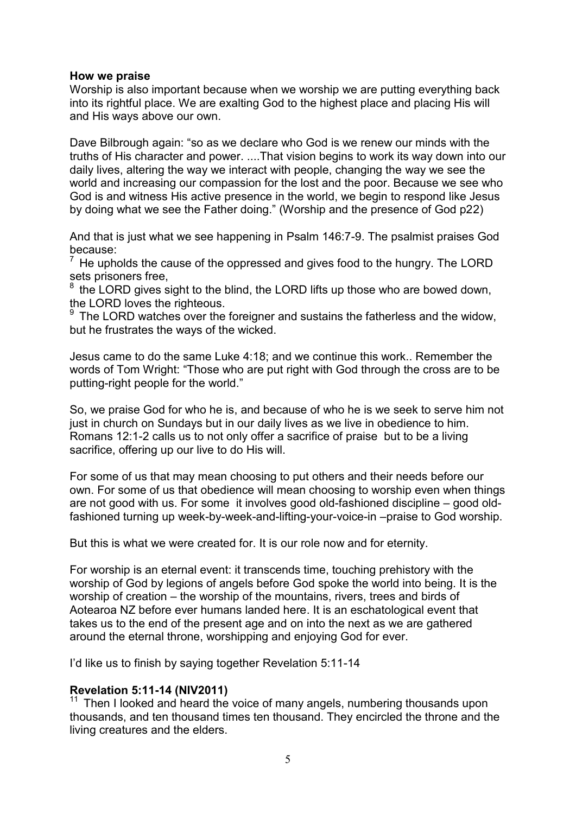### **How we praise**

Worship is also important because when we worship we are putting everything back into its rightful place. We are exalting God to the highest place and placing His will and His ways above our own.

Dave Bilbrough again: "so as we declare who God is we renew our minds with the truths of His character and power. ....That vision begins to work its way down into our daily lives, altering the way we interact with people, changing the way we see the world and increasing our compassion for the lost and the poor. Because we see who God is and witness His active presence in the world, we begin to respond like Jesus by doing what we see the Father doing." (Worship and the presence of God p22)

And that is just what we see happening in Psalm 146:7-9. The psalmist praises God because:

 $<sup>7</sup>$  He upholds the cause of the oppressed and gives food to the hungry. The LORD</sup> sets prisoners free,

 $8$  the LORD gives sight to the blind, the LORD lifts up those who are bowed down, the LORD loves the righteous.

 $9$  The LORD watches over the foreigner and sustains the fatherless and the widow, but he frustrates the ways of the wicked.

Jesus came to do the same Luke 4:18; and we continue this work.. Remember the words of Tom Wright: "Those who are put right with God through the cross are to be putting-right people for the world."

So, we praise God for who he is, and because of who he is we seek to serve him not just in church on Sundays but in our daily lives as we live in obedience to him. Romans 12:1-2 calls us to not only offer a sacrifice of praise but to be a living sacrifice, offering up our live to do His will.

For some of us that may mean choosing to put others and their needs before our own. For some of us that obedience will mean choosing to worship even when things are not good with us. For some it involves good old-fashioned discipline – good oldfashioned turning up week-by-week-and-lifting-your-voice-in –praise to God worship.

But this is what we were created for. It is our role now and for eternity.

For worship is an eternal event: it transcends time, touching prehistory with the worship of God by legions of angels before God spoke the world into being. It is the worship of creation – the worship of the mountains, rivers, trees and birds of Aotearoa NZ before ever humans landed here. It is an eschatological event that takes us to the end of the present age and on into the next as we are gathered around the eternal throne, worshipping and enjoying God for ever.

I'd like us to finish by saying together Revelation 5:11-14

## **Revelation 5:11-14 (NIV2011)**

 $11$  Then I looked and heard the voice of many angels, numbering thousands upon thousands, and ten thousand times ten thousand. They encircled the throne and the living creatures and the elders.